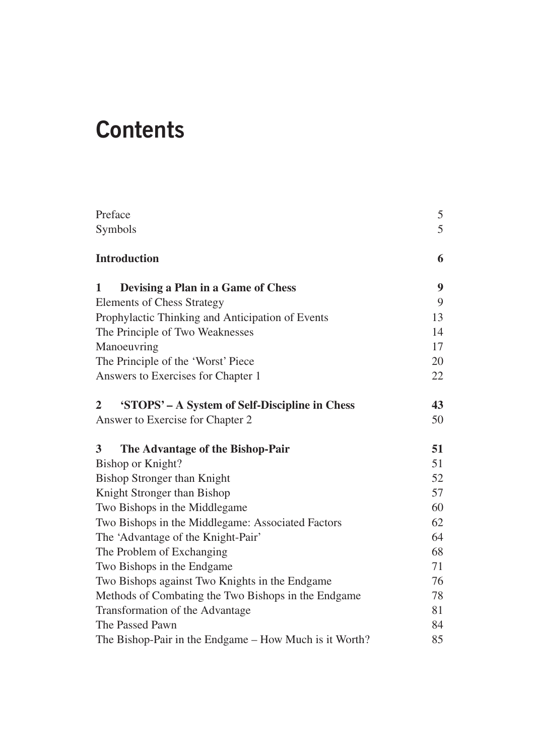# **Contents**

| Preface                                                     | 5  |
|-------------------------------------------------------------|----|
| Symbols                                                     | 5  |
| <b>Introduction</b>                                         | 6  |
| Devising a Plan in a Game of Chess<br>1                     | 9  |
| <b>Elements of Chess Strategy</b>                           | 9  |
| Prophylactic Thinking and Anticipation of Events            | 13 |
| The Principle of Two Weaknesses                             | 14 |
| Manoeuvring                                                 | 17 |
| The Principle of the 'Worst' Piece                          | 20 |
| Answers to Exercises for Chapter 1                          | 22 |
| 'STOPS' - A System of Self-Discipline in Chess<br>2         | 43 |
| Answer to Exercise for Chapter 2                            | 50 |
| $\overline{\mathbf{3}}$<br>The Advantage of the Bishop-Pair | 51 |
| Bishop or Knight?                                           | 51 |
| <b>Bishop Stronger than Knight</b>                          | 52 |
| Knight Stronger than Bishop                                 | 57 |
| Two Bishops in the Middlegame                               | 60 |
| Two Bishops in the Middlegame: Associated Factors           | 62 |
| The 'Advantage of the Knight-Pair'                          | 64 |
| The Problem of Exchanging                                   | 68 |
| Two Bishops in the Endgame                                  | 71 |
| Two Bishops against Two Knights in the Endgame              | 76 |
| Methods of Combating the Two Bishops in the Endgame         | 78 |
| Transformation of the Advantage                             | 81 |
| The Passed Pawn                                             | 84 |
| The Bishop-Pair in the Endgame – How Much is it Worth?      | 85 |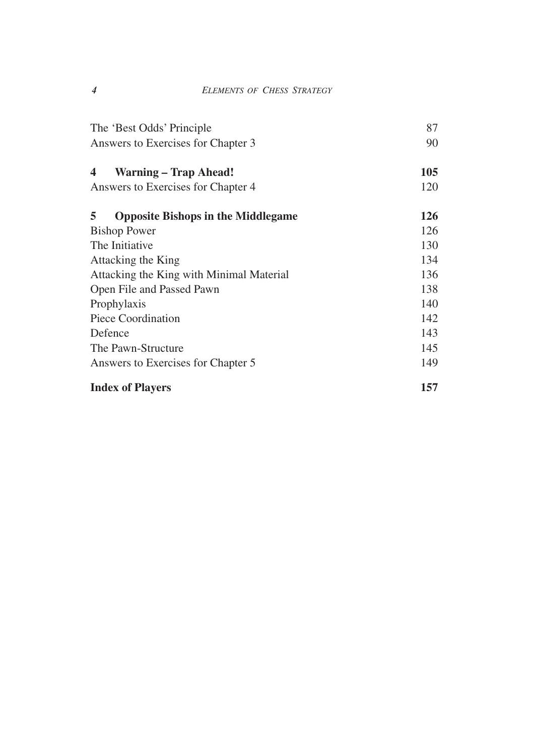| The 'Best Odds' Principle                      | 87  |
|------------------------------------------------|-----|
| Answers to Exercises for Chapter 3             | 90  |
| <b>Warning – Trap Ahead!</b><br>4              | 105 |
| Answers to Exercises for Chapter 4             | 120 |
| 5<br><b>Opposite Bishops in the Middlegame</b> | 126 |
| <b>Bishop Power</b>                            | 126 |
| The Initiative                                 | 130 |
| Attacking the King                             | 134 |
| Attacking the King with Minimal Material       | 136 |
| Open File and Passed Pawn                      | 138 |
| Prophylaxis                                    | 140 |
| Piece Coordination                             | 142 |
| Defence                                        | 143 |
| The Pawn-Structure                             | 145 |
| Answers to Exercises for Chapter 5             | 149 |
| <b>Index of Players</b>                        | 157 |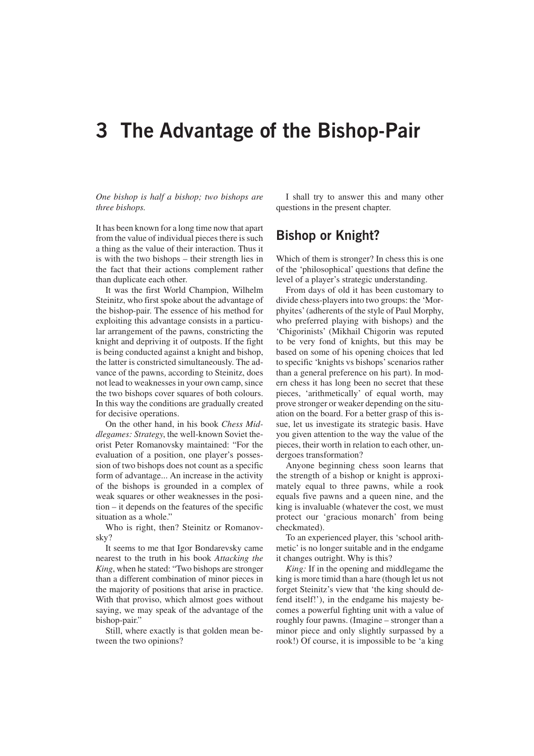## **3 The Advantage of the Bishop-Pair**

*One bishop is half a bishop; two bishops are three bishops.*

It has been known for a long time now that apart from the value of individual pieces there is such a thing as the value of their interaction. Thus it is with the two bishops – their strength lies in the fact that their actions complement rather than duplicate each other.

It was the first World Champion, Wilhelm Steinitz, who first spoke about the advantage of the bishop-pair. The essence of his method for exploiting this advantage consists in a particular arrangement of the pawns, constricting the knight and depriving it of outposts. If the fight is being conducted against a knight and bishop, the latter is constricted simultaneously. The advance of the pawns, according to Steinitz, does not lead to weaknesses in your own camp, since the two bishops cover squares of both colours. In this way the conditions are gradually created for decisive operations.

On the other hand, in his book *Chess Middlegames: Strategy*, the well-known Soviet theorist Peter Romanovsky maintained: "For the evaluation of a position, one player's possession of two bishops does not count as a specific form of advantage... An increase in the activity of the bishops is grounded in a complex of weak squares or other weaknesses in the position – it depends on the features of the specific situation as a whole."

Who is right, then? Steinitz or Romanovsky?

It seems to me that Igor Bondarevsky came nearest to the truth in his book *Attacking the King*, when he stated: "Two bishops are stronger than a different combination of minor pieces in the majority of positions that arise in practice. With that proviso, which almost goes without saying, we may speak of the advantage of the bishop-pair."

Still, where exactly is that golden mean between the two opinions?

I shall try to answer this and many other questions in the present chapter.

## **Bishop or Knight?**

Which of them is stronger? In chess this is one of the 'philosophical' questions that define the level of a player's strategic understanding.

From days of old it has been customary to divide chess-players into two groups: the 'Morphyites' (adherents of the style of Paul Morphy, who preferred playing with bishops) and the 'Chigorinists' (Mikhail Chigorin was reputed to be very fond of knights, but this may be based on some of his opening choices that led to specific 'knights vs bishops' scenarios rather than a general preference on his part). In modern chess it has long been no secret that these pieces, 'arithmetically' of equal worth, may prove stronger or weaker depending on the situation on the board. For a better grasp of this issue, let us investigate its strategic basis. Have you given attention to the way the value of the pieces, their worth in relation to each other, undergoes transformation?

Anyone beginning chess soon learns that the strength of a bishop or knight is approximately equal to three pawns, while a rook equals five pawns and a queen nine, and the king is invaluable (whatever the cost, we must protect our 'gracious monarch' from being checkmated).

To an experienced player, this 'school arithmetic' is no longer suitable and in the endgame it changes outright. Why is this?

*King:* If in the opening and middlegame the king is more timid than a hare (though let us not forget Steinitz's view that 'the king should defend itself!'), in the endgame his majesty becomes a powerful fighting unit with a value of roughly four pawns. (Imagine – stronger than a minor piece and only slightly surpassed by a rook!) Of course, it is impossible to be 'a king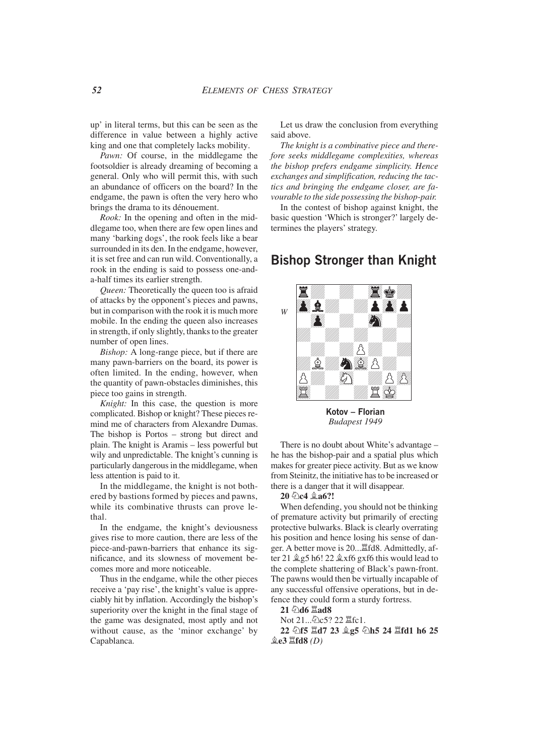up' in literal terms, but this can be seen as the difference in value between a highly active king and one that completely lacks mobility.

*Pawn:* Of course, in the middlegame the footsoldier is already dreaming of becoming a general. Only who will permit this, with such an abundance of officers on the board? In the endgame, the pawn is often the very hero who brings the drama to its dénouement.

*Rook:* In the opening and often in the middlegame too, when there are few open lines and many 'barking dogs', the rook feels like a bear surrounded in its den. In the endgame, however, it is set free and can run wild. Conventionally, a rook in the ending is said to possess one-anda-half times its earlier strength.

*Queen:* Theoretically the queen too is afraid of attacks by the opponent's pieces and pawns, but in comparison with the rook it is much more mobile. In the ending the queen also increases in strength, if only slightly, thanks to the greater number of open lines.

*Bishop:* A long-range piece, but if there are many pawn-barriers on the board, its power is often limited. In the ending, however, when the quantity of pawn-obstacles diminishes, this piece too gains in strength.

*Knight:* In this case, the question is more complicated. Bishop or knight? These pieces remind me of characters from Alexandre Dumas. The bishop is Portos – strong but direct and plain. The knight is Aramis – less powerful but wily and unpredictable. The knight's cunning is particularly dangerous in the middlegame, when less attention is paid to it.

In the middlegame, the knight is not bothered by bastions formed by pieces and pawns, while its combinative thrusts can prove lethal.

In the endgame, the knight's deviousness gives rise to more caution, there are less of the piece-and-pawn-barriers that enhance its significance, and its slowness of movement becomes more and more noticeable.

Thus in the endgame, while the other pieces receive a 'pay rise', the knight's value is appreciably hit by inflation. Accordingly the bishop's superiority over the knight in the final stage of the game was designated, most aptly and not without cause, as the 'minor exchange' by Capablanca.

Let us draw the conclusion from everything said above.

*The knight is a combinative piece and therefore seeks middlegame complexities, whereas the bishop prefers endgame simplicity. Hence exchanges and simplification, reducing the tactics and bringing the endgame closer, are favourable to the side possessing the bishop-pair.*

In the contest of bishop against knight, the basic question 'Which is stronger?' largely determines the players' strategy.

### **Bishop Stronger than Knight**



**Kotov – Florian** *Budapest 1949*

There is no doubt about White's advantage – he has the bishop-pair and a spatial plus which makes for greater piece activity. But as we know from Steinitz, the initiative has to be increased or there is a danger that it will disappear.

20 **②c4 鱼a6?!** 

When defending, you should not be thinking of premature activity but primarily of erecting protective bulwarks. Black is clearly overrating his position and hence losing his sense of danger. A better move is 20...Îfd8. Admittedly, after 21  $\&$  g5 h6! 22  $\&$ xf6 gxf6 this would lead to the complete shattering of Black's pawn-front. The pawns would then be virtually incapable of any successful offensive operations, but in defence they could form a sturdy fortress.

**21 Ìd6 Îad8**

Not 21...②c5? 22 罝fc1.

22 **公f5**  $\Xi$ **d7 23 皇g5 公h5 24**  $\Xi$ **fd1 h6 25 Íe3 Îfd8** *(D)*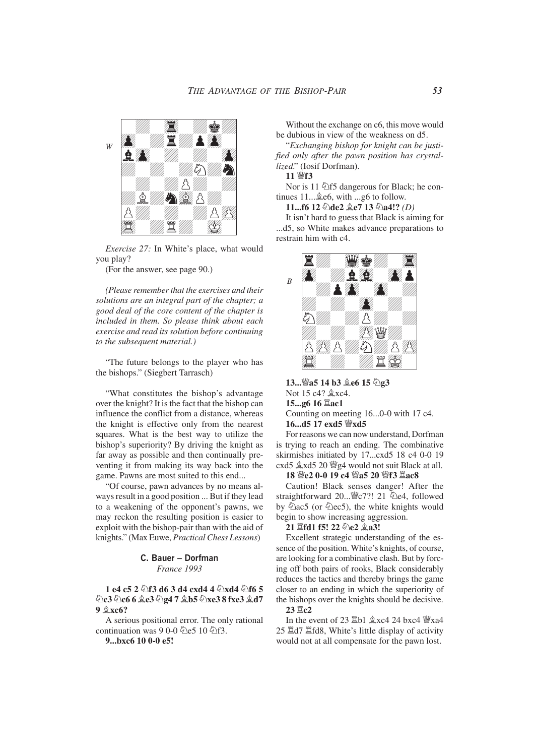

*Exercise 27:* In White's place, what would you play?

(For the answer, see page 90.)

*(Please remember that the exercises and their solutions are an integral part of the chapter; a good deal of the core content of the chapter is included in them. So please think about each exercise and read its solution before continuing to the subsequent material.)*

"The future belongs to the player who has the bishops." (Siegbert Tarrasch)

"What constitutes the bishop's advantage over the knight? It is the fact that the bishop can influence the conflict from a distance, whereas the knight is effective only from the nearest squares. What is the best way to utilize the bishop's superiority? By driving the knight as far away as possible and then continually preventing it from making its way back into the game. Pawns are most suited to this end...

"Of course, pawn advances by no means always result in a good position ... But if they lead to a weakening of the opponent's pawns, we may reckon the resulting position is easier to exploit with the bishop-pair than with the aid of knights." (Max Euwe, *Practical Chess Lessons*)

> **C. Bauer – Dorfman** *France 1993*

**1 e4 c5 2**  $\circ$ **f3 d6 3 d4 cxd4 4**  $\circ$ **xd4**  $\circ$ **f6 5 De3 De6 6 2e3 De4 7 2b5 Dxe3 8 fxe3 2d7 9**  $\&$ <sub>xc6</sub>?

A serious positional error. The only rational continuation was 9 0-0  $\&$ e5 10  $\&$ f3.

**9...bxc6 10 0-0 e5!**

Without the exchange on c6, this move would be dubious in view of the weakness on d5.

"*Exchanging bishop for knight can be justified only after the pawn position has crystallized.*" (Iosif Dorfman).

**11 Ëf3**

Nor is 11  $\triangle$ f5 dangerous for Black; he continues  $11...$   $2e6$ , with  $...$ g6 to follow.

**11...f6 12** *D***de2** *Le***7 13** *D***a4!?** *(D)* 

It isn't hard to guess that Black is aiming for ...d5, so White makes advance preparations to restrain him with c4.



13... ea5 14 b3 **Le6** 15 2g3 Not 15 c4?  $xca$ . **15...g6 16 Îac1** Counting on meeting 16...0-0 with 17 c4. **16...d5 17 exd5 Ëxd5**

For reasons we can now understand, Dorfman is trying to reach an ending. The combinative skirmishes initiated by 17...cxd5 18 c4 0-0 19 cxd5  $\&$ xd5 20  $\&$ g4 would not suit Black at all.

#### 18 *We2* 0-0 19 c4 *Wa5* 20 *Wf3 Lac8*

Caution! Black senses danger! After the straightforward 20... *s*c7?! 21 ②e4, followed by  $\overline{\hat{Q}}$ ac5 (or  $\hat{Q}$ ec5), the white knights would begin to show increasing aggression.

#### **21**  $\ddot{\text{2}}$ **fd1 f5! 22 ②e2**  $\hat{\text{2}}$ **a3!**

Excellent strategic understanding of the essence of the position. White's knights, of course, are looking for a combinative clash. But by forcing off both pairs of rooks, Black considerably reduces the tactics and thereby brings the game closer to an ending in which the superiority of the bishops over the knights should be decisive.

**23 Îc2**

In the event of 23  $\mathbb{Z}$ b1  $\&$ xc4 24 bxc4  $\mathbb{W}$ xa4 25 Îd7 Îfd8, White's little display of activity would not at all compensate for the pawn lost.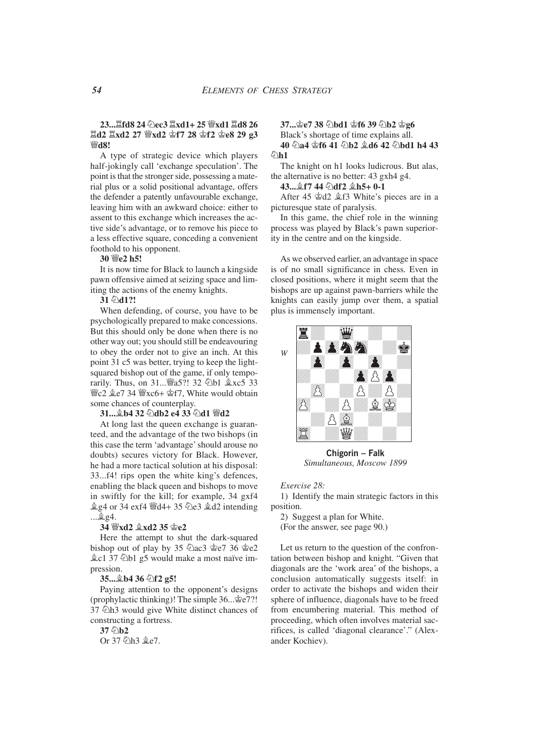#### **23... 耳fd8 24 ②ec3 耳xd1+ 25 響xd1 耳d8 26 Îd2 Îxd2 27 Ëxd2 Êf7 28 Êf2 Êe8 29 g3 Ed8!**

A type of strategic device which players half-jokingly call 'exchange speculation'. The point is that the stronger side, possessing a material plus or a solid positional advantage, offers the defender a patently unfavourable exchange, leaving him with an awkward choice: either to assent to this exchange which increases the active side's advantage, or to remove his piece to a less effective square, conceding a convenient foothold to his opponent.

#### **30 Ëe2 h5!**

It is now time for Black to launch a kingside pawn offensive aimed at seizing space and limiting the actions of the enemy knights.

#### 31 2d1?!

When defending, of course, you have to be psychologically prepared to make concessions. But this should only be done when there is no other way out; you should still be endeavouring to obey the order not to give an inch. At this point 31 c5 was better, trying to keep the lightsquared bishop out of the game, if only temporarily. Thus, on 31... 45?! 32 2b1  $\&x \circ 5$  33 營c2 拿e7 34 營xc6+ 會f7, White would obtain some chances of counterplay.

#### 31... **b4 32 adb2 e4 33 ad1 @d2**

At long last the queen exchange is guaranteed, and the advantage of the two bishops (in this case the term 'advantage' should arouse no doubts) secures victory for Black. However, he had a more tactical solution at his disposal: 33...f4! rips open the white king's defences, enabling the black queen and bishops to move in swiftly for the kill; for example, 34 gxf4  $\hat{\&}$ g4 or 34 exf4  $\hat{\&}$ d4+ 35  $\hat{\&}$ e3  $\hat{\&}$ d2 intending ...Íg4.

#### **34 Ëxd2 Íxd2 35 Êe2**

Here the attempt to shut the dark-squared bishop out of play by 35  $\angle 2$ ac3  $\angle 2$ e7 36  $\angle 2$ e2  $\&c1$  37  $\&$ b1 g5 would make a most naïve impression.

#### **35...Íb4 36 Ìf2 g5!**

Paying attention to the opponent's designs (prophylactic thinking)! The simple 36...Êe7?! 37  $\hat{\triangle}$ h3 would give White distinct chances of constructing a fortress.

**37 6b2** 

Or 37 2h3  $&e7.$ 

**37... 空e7 38 ②bd1 空f6 39 ②b2 空g6** 

Black's shortage of time explains all. 40 ha4 \$f6 41 hb2 \$d6 42 hbd1 h4 43 **名h1** 

The knight on h1 looks ludicrous. But alas, the alternative is no better: 43 gxh4 g4.

#### **43...** *全f7* 44 ②df2 *全h5*+ 0-1

After 45  $\&$ d2  $\&$ f3 White's pieces are in a picturesque state of paralysis.

In this game, the chief role in the winning process was played by Black's pawn superiority in the centre and on the kingside.

As we observed earlier, an advantage in space is of no small significance in chess. Even in closed positions, where it might seem that the bishops are up against pawn-barriers while the knights can easily jump over them, a spatial plus is immensely important.



**Chigorin – Falk** *Simultaneous, Moscow 1899*

#### *Exercise 28:*

1) Identify the main strategic factors in this position.

2) Suggest a plan for White. (For the answer, see page 90.)

Let us return to the question of the confrontation between bishop and knight. "Given that diagonals are the 'work area' of the bishops, a conclusion automatically suggests itself: in order to activate the bishops and widen their sphere of influence, diagonals have to be freed from encumbering material. This method of proceeding, which often involves material sacrifices, is called 'diagonal clearance'." (Alexander Kochiev).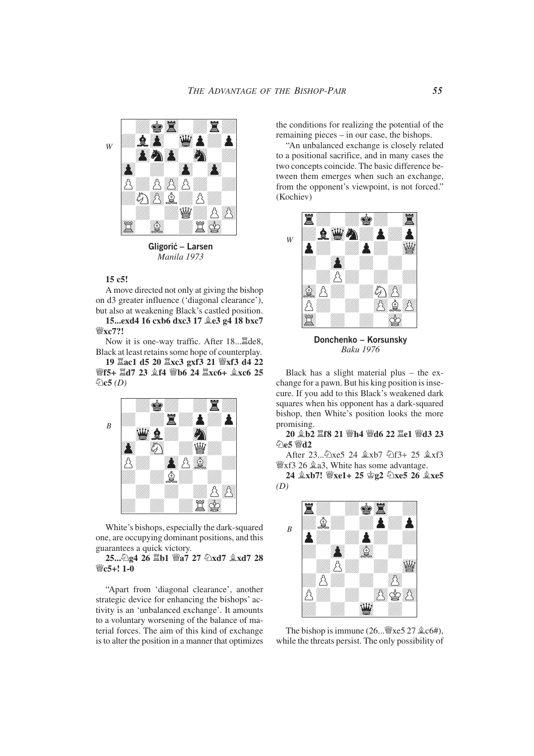

**Gligoric – Larsen** *Manila 1973*

#### **15 c5!**

A move directed not only at giving the bishop on d3 greater influence ('diagonal clearance'), but also at weakening Black's castled position. **15...exd4 16 cxb6 dxc3 17**  $2e3$  **g4 18 bxc7** 

**Ëxc7?!** Now it is one-way traffic. After 18... ade8,

Black at least retains some hope of counterplay. **19 Îac1 d5 20 Îxc3 gxf3 21 Ëxf3 d4 22**

*\iff5+*  $\Xi$ *d7 23*  $\hat{\mathbb{E}}$ *f4 \iff6 24*  $\Xi$ *xc6+*  $\hat{\mathbb{E}}$ *xc6 25* **Ìc5** *(D)*



White's bishops, especially the dark-squared one, are occupying dominant positions, and this guarantees a quick victory.

25... <sup>2</sup>g4 26  $\mathbb{Z}$ b1  $\mathbb{Z}$ a7 27  $\mathbb{Z}$ xd7  $\mathbb{Z}$ xd7 28 **Ëc5+! 1-0**

"Apart from 'diagonal clearance', another strategic device for enhancing the bishops' activity is an 'unbalanced exchange'. It amounts to a voluntary worsening of the balance of material forces. The aim of this kind of exchange is to alter the position in a manner that optimizes

the conditions for realizing the potential of the remaining pieces – in our case, the bishops.

"An unbalanced exchange is closely related to a positional sacrifice, and in many cases the two concepts coincide. The basic difference between them emerges when such an exchange, from the opponent's viewpoint, is not forced." (Kochiev)



**Donchenko – Korsunsky** *Baku 1976*

Black has a slight material plus – the exchange for a pawn. But his king position is insecure. If you add to this Black's weakened dark squares when his opponent has a dark-squared bishop, then White's position looks the more promising.

**20 Íb2 Îf8 21 Ëh4 Ëd6 22 Îe1 Ëd3 23 第12** 

After 23... 2xe5 24  $\&$ xb7  $\&$ f3+ 25  $\&$ xf3 Ëxf3 26 Ía3, White has some advantage.

**24 <b>g**xb7! *W*xe1+ 25 *g*<sub>2</sub> ②xe5 26 g<sup>e</sup>xe5 *(D)*



The bishop is immune  $(26 \dots \mathcal{W} \times 5 \, 27 \, \mathcal{Q} \times 64)$ , while the threats persist. The only possibility of